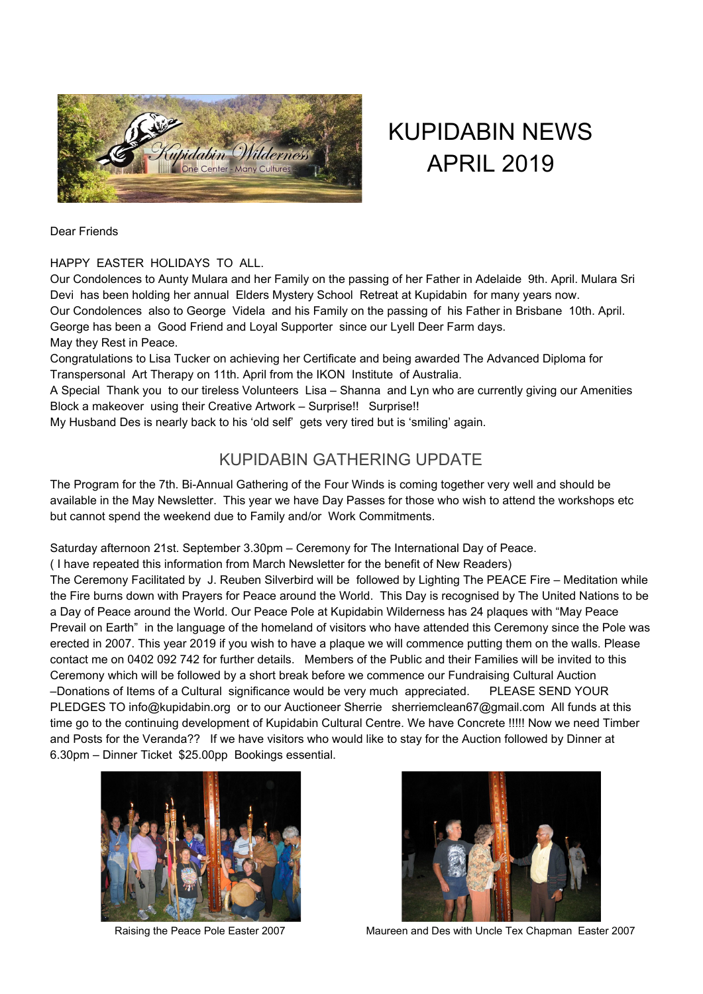

# KUPIDABIN NEWS APRIL 2019

Dear Friends

#### HAPPY EASTER HOLIDAYS TO ALL.

Our Condolences to Aunty Mulara and her Family on the passing of her Father in Adelaide 9th. April. Mulara Sri Devi has been holding her annual Elders Mystery School Retreat at Kupidabin for many years now. Our Condolences also to George Videla and his Family on the passing of his Father in Brisbane 10th. April. George has been a Good Friend and Loyal Supporter since our Lyell Deer Farm days. May they Rest in Peace.

Congratulations to Lisa Tucker on achieving her Certificate and being awarded The Advanced Diploma for Transpersonal Art Therapy on 11th. April from the IKON Institute of Australia.

A Special Thank you to our tireless Volunteers Lisa – Shanna and Lyn who are currently giving our Amenities Block a makeover using their Creative Artwork – Surprise!! Surprise!!

My Husband Des is nearly back to his 'old self' gets very tired but is 'smiling' again.

## KUPIDABIN GATHERING UPDATE

The Program for the 7th. Bi-Annual Gathering of the Four Winds is coming together very well and should be available in the May Newsletter. This year we have Day Passes for those who wish to attend the workshops etc but cannot spend the weekend due to Family and/or Work Commitments.

Saturday afternoon 21st. September 3.30pm – Ceremony for The International Day of Peace.

( I have repeated this information from March Newsletter for the benefit of New Readers)

The Ceremony Facilitated by J. Reuben Silverbird will be followed by Lighting The PEACE Fire – Meditation while the Fire burns down with Prayers for Peace around the World. This Day is recognised by The United Nations to be a Day of Peace around the World. Our Peace Pole at Kupidabin Wilderness has 24 plaques with "May Peace Prevail on Earth" in the language of the homeland of visitors who have attended this Ceremony since the Pole was erected in 2007. This year 2019 if you wish to have a plaque we will commence putting them on the walls. Please contact me on 0402 092 742 for further details. Members of the Public and their Families will be invited to this Ceremony which will be followed by a short break before we commence our Fundraising Cultural Auction –Donations of Items of a Cultural significance would be very much appreciated. PLEASE SEND YOUR PLEDGES TO info@kupidabin.org or to our Auctioneer Sherrie sherriemclean67@gmail.com All funds at this time go to the continuing development of Kupidabin Cultural Centre. We have Concrete !!!!! Now we need Timber and Posts for the Veranda?? If we have visitors who would like to stay for the Auction followed by Dinner at 6.30pm – Dinner Ticket \$25.00pp Bookings essential.





Raising the Peace Pole Easter 2007 Maureen and Des with Uncle Tex Chapman Easter 2007